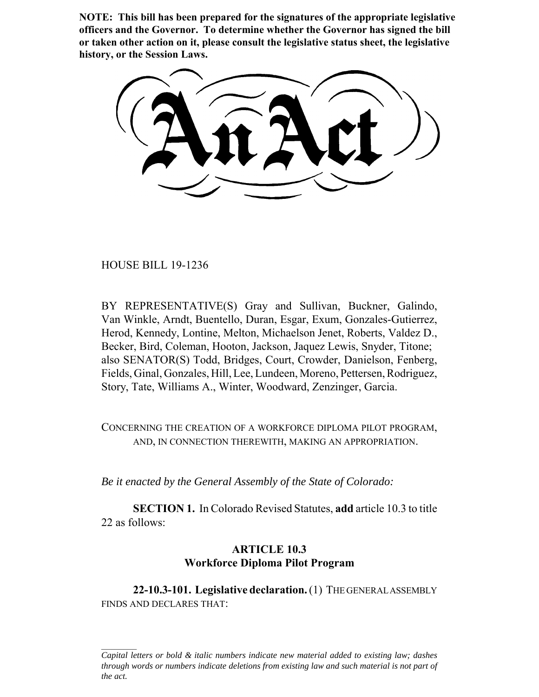**NOTE: This bill has been prepared for the signatures of the appropriate legislative officers and the Governor. To determine whether the Governor has signed the bill or taken other action on it, please consult the legislative status sheet, the legislative history, or the Session Laws.**

HOUSE BILL 19-1236

BY REPRESENTATIVE(S) Gray and Sullivan, Buckner, Galindo, Van Winkle, Arndt, Buentello, Duran, Esgar, Exum, Gonzales-Gutierrez, Herod, Kennedy, Lontine, Melton, Michaelson Jenet, Roberts, Valdez D., Becker, Bird, Coleman, Hooton, Jackson, Jaquez Lewis, Snyder, Titone; also SENATOR(S) Todd, Bridges, Court, Crowder, Danielson, Fenberg, Fields, Ginal, Gonzales, Hill, Lee, Lundeen, Moreno, Pettersen, Rodriguez, Story, Tate, Williams A., Winter, Woodward, Zenzinger, Garcia.

CONCERNING THE CREATION OF A WORKFORCE DIPLOMA PILOT PROGRAM, AND, IN CONNECTION THEREWITH, MAKING AN APPROPRIATION.

*Be it enacted by the General Assembly of the State of Colorado:*

**SECTION 1.** In Colorado Revised Statutes, **add** article 10.3 to title 22 as follows:

## **ARTICLE 10.3 Workforce Diploma Pilot Program**

**22-10.3-101. Legislative declaration.** (1) THE GENERAL ASSEMBLY FINDS AND DECLARES THAT:

*Capital letters or bold & italic numbers indicate new material added to existing law; dashes through words or numbers indicate deletions from existing law and such material is not part of the act.*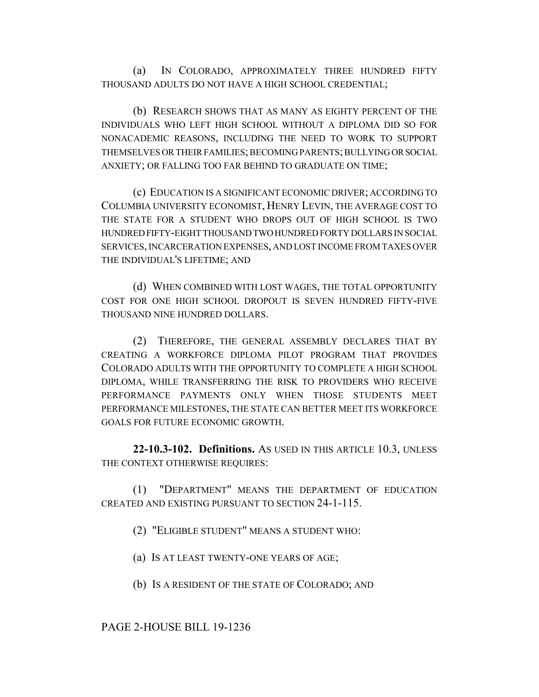(a) IN COLORADO, APPROXIMATELY THREE HUNDRED FIFTY THOUSAND ADULTS DO NOT HAVE A HIGH SCHOOL CREDENTIAL;

(b) RESEARCH SHOWS THAT AS MANY AS EIGHTY PERCENT OF THE INDIVIDUALS WHO LEFT HIGH SCHOOL WITHOUT A DIPLOMA DID SO FOR NONACADEMIC REASONS, INCLUDING THE NEED TO WORK TO SUPPORT THEMSELVES OR THEIR FAMILIES; BECOMING PARENTS; BULLYING OR SOCIAL ANXIETY; OR FALLING TOO FAR BEHIND TO GRADUATE ON TIME;

(c) EDUCATION IS A SIGNIFICANT ECONOMIC DRIVER; ACCORDING TO COLUMBIA UNIVERSITY ECONOMIST, HENRY LEVIN, THE AVERAGE COST TO THE STATE FOR A STUDENT WHO DROPS OUT OF HIGH SCHOOL IS TWO HUNDRED FIFTY-EIGHT THOUSAND TWO HUNDRED FORTY DOLLARS IN SOCIAL SERVICES, INCARCERATION EXPENSES, AND LOST INCOME FROM TAXES OVER THE INDIVIDUAL'S LIFETIME; AND

(d) WHEN COMBINED WITH LOST WAGES, THE TOTAL OPPORTUNITY COST FOR ONE HIGH SCHOOL DROPOUT IS SEVEN HUNDRED FIFTY-FIVE THOUSAND NINE HUNDRED DOLLARS.

(2) THEREFORE, THE GENERAL ASSEMBLY DECLARES THAT BY CREATING A WORKFORCE DIPLOMA PILOT PROGRAM THAT PROVIDES COLORADO ADULTS WITH THE OPPORTUNITY TO COMPLETE A HIGH SCHOOL DIPLOMA, WHILE TRANSFERRING THE RISK TO PROVIDERS WHO RECEIVE PERFORMANCE PAYMENTS ONLY WHEN THOSE STUDENTS MEET PERFORMANCE MILESTONES, THE STATE CAN BETTER MEET ITS WORKFORCE GOALS FOR FUTURE ECONOMIC GROWTH.

**22-10.3-102. Definitions.** AS USED IN THIS ARTICLE 10.3, UNLESS THE CONTEXT OTHERWISE REQUIRES:

(1) "DEPARTMENT" MEANS THE DEPARTMENT OF EDUCATION CREATED AND EXISTING PURSUANT TO SECTION 24-1-115.

(2) "ELIGIBLE STUDENT" MEANS A STUDENT WHO:

(a) IS AT LEAST TWENTY-ONE YEARS OF AGE;

(b) IS A RESIDENT OF THE STATE OF COLORADO; AND

PAGE 2-HOUSE BILL 19-1236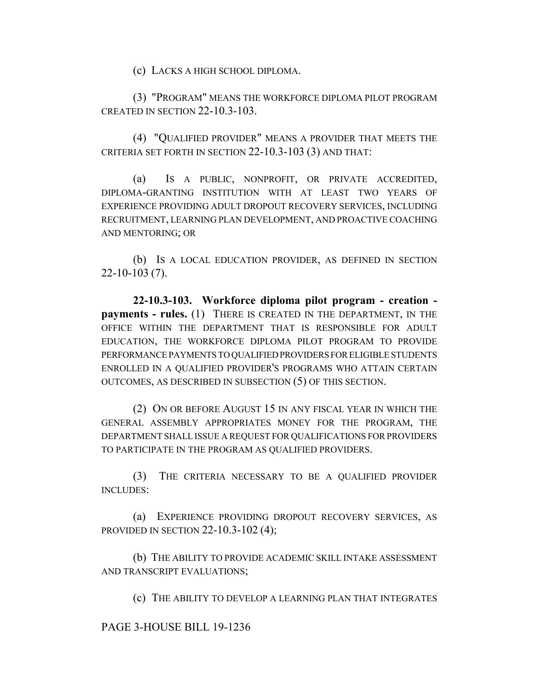(c) LACKS A HIGH SCHOOL DIPLOMA.

(3) "PROGRAM" MEANS THE WORKFORCE DIPLOMA PILOT PROGRAM CREATED IN SECTION 22-10.3-103.

(4) "QUALIFIED PROVIDER" MEANS A PROVIDER THAT MEETS THE CRITERIA SET FORTH IN SECTION 22-10.3-103 (3) AND THAT:

(a) IS A PUBLIC, NONPROFIT, OR PRIVATE ACCREDITED, DIPLOMA-GRANTING INSTITUTION WITH AT LEAST TWO YEARS OF EXPERIENCE PROVIDING ADULT DROPOUT RECOVERY SERVICES, INCLUDING RECRUITMENT, LEARNING PLAN DEVELOPMENT, AND PROACTIVE COACHING AND MENTORING; OR

(b) IS A LOCAL EDUCATION PROVIDER, AS DEFINED IN SECTION 22-10-103 (7).

**22-10.3-103. Workforce diploma pilot program - creation payments - rules.** (1) THERE IS CREATED IN THE DEPARTMENT, IN THE OFFICE WITHIN THE DEPARTMENT THAT IS RESPONSIBLE FOR ADULT EDUCATION, THE WORKFORCE DIPLOMA PILOT PROGRAM TO PROVIDE PERFORMANCE PAYMENTS TO QUALIFIED PROVIDERS FOR ELIGIBLE STUDENTS ENROLLED IN A QUALIFIED PROVIDER'S PROGRAMS WHO ATTAIN CERTAIN OUTCOMES, AS DESCRIBED IN SUBSECTION (5) OF THIS SECTION.

(2) ON OR BEFORE AUGUST 15 IN ANY FISCAL YEAR IN WHICH THE GENERAL ASSEMBLY APPROPRIATES MONEY FOR THE PROGRAM, THE DEPARTMENT SHALL ISSUE A REQUEST FOR QUALIFICATIONS FOR PROVIDERS TO PARTICIPATE IN THE PROGRAM AS QUALIFIED PROVIDERS.

(3) THE CRITERIA NECESSARY TO BE A QUALIFIED PROVIDER INCLUDES:

(a) EXPERIENCE PROVIDING DROPOUT RECOVERY SERVICES, AS PROVIDED IN SECTION 22-10.3-102 (4);

(b) THE ABILITY TO PROVIDE ACADEMIC SKILL INTAKE ASSESSMENT AND TRANSCRIPT EVALUATIONS;

(c) THE ABILITY TO DEVELOP A LEARNING PLAN THAT INTEGRATES

## PAGE 3-HOUSE BILL 19-1236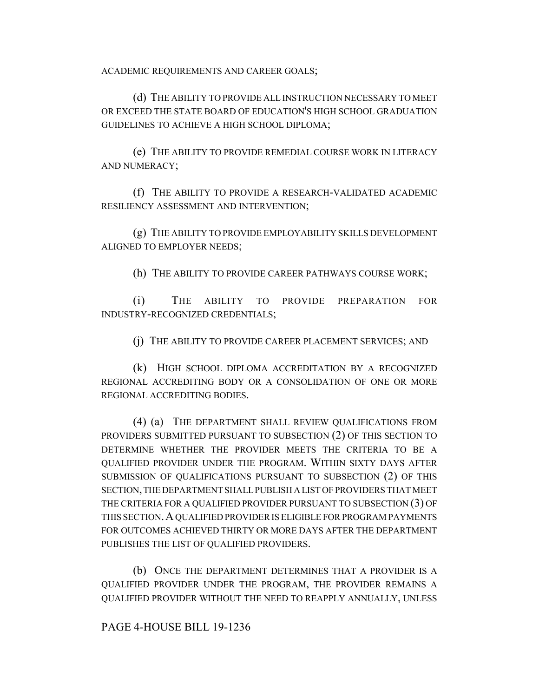ACADEMIC REQUIREMENTS AND CAREER GOALS;

(d) THE ABILITY TO PROVIDE ALL INSTRUCTION NECESSARY TO MEET OR EXCEED THE STATE BOARD OF EDUCATION'S HIGH SCHOOL GRADUATION GUIDELINES TO ACHIEVE A HIGH SCHOOL DIPLOMA;

(e) THE ABILITY TO PROVIDE REMEDIAL COURSE WORK IN LITERACY AND NUMERACY;

(f) THE ABILITY TO PROVIDE A RESEARCH-VALIDATED ACADEMIC RESILIENCY ASSESSMENT AND INTERVENTION;

(g) THE ABILITY TO PROVIDE EMPLOYABILITY SKILLS DEVELOPMENT ALIGNED TO EMPLOYER NEEDS;

(h) THE ABILITY TO PROVIDE CAREER PATHWAYS COURSE WORK;

(i) THE ABILITY TO PROVIDE PREPARATION FOR INDUSTRY-RECOGNIZED CREDENTIALS;

(j) THE ABILITY TO PROVIDE CAREER PLACEMENT SERVICES; AND

(k) HIGH SCHOOL DIPLOMA ACCREDITATION BY A RECOGNIZED REGIONAL ACCREDITING BODY OR A CONSOLIDATION OF ONE OR MORE REGIONAL ACCREDITING BODIES.

(4) (a) THE DEPARTMENT SHALL REVIEW QUALIFICATIONS FROM PROVIDERS SUBMITTED PURSUANT TO SUBSECTION (2) OF THIS SECTION TO DETERMINE WHETHER THE PROVIDER MEETS THE CRITERIA TO BE A QUALIFIED PROVIDER UNDER THE PROGRAM. WITHIN SIXTY DAYS AFTER SUBMISSION OF QUALIFICATIONS PURSUANT TO SUBSECTION (2) OF THIS SECTION, THE DEPARTMENT SHALL PUBLISH A LIST OF PROVIDERS THAT MEET THE CRITERIA FOR A QUALIFIED PROVIDER PURSUANT TO SUBSECTION (3) OF THIS SECTION.A QUALIFIED PROVIDER IS ELIGIBLE FOR PROGRAM PAYMENTS FOR OUTCOMES ACHIEVED THIRTY OR MORE DAYS AFTER THE DEPARTMENT PUBLISHES THE LIST OF QUALIFIED PROVIDERS.

(b) ONCE THE DEPARTMENT DETERMINES THAT A PROVIDER IS A QUALIFIED PROVIDER UNDER THE PROGRAM, THE PROVIDER REMAINS A QUALIFIED PROVIDER WITHOUT THE NEED TO REAPPLY ANNUALLY, UNLESS

## PAGE 4-HOUSE BILL 19-1236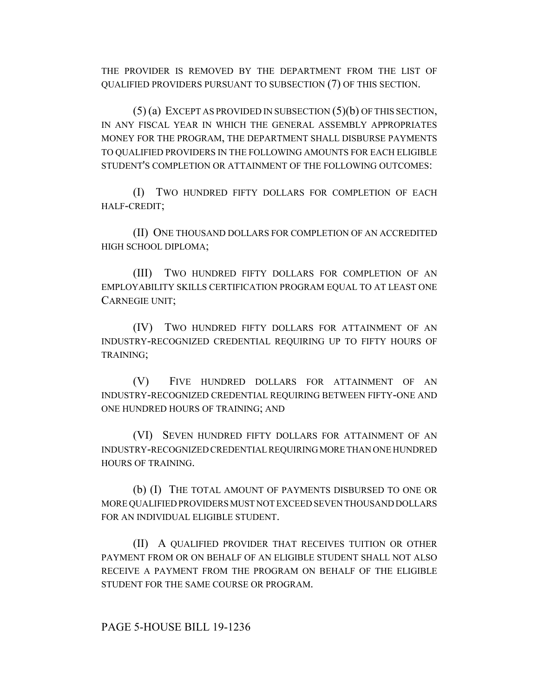THE PROVIDER IS REMOVED BY THE DEPARTMENT FROM THE LIST OF QUALIFIED PROVIDERS PURSUANT TO SUBSECTION (7) OF THIS SECTION.

(5) (a) EXCEPT AS PROVIDED IN SUBSECTION (5)(b) OF THIS SECTION, IN ANY FISCAL YEAR IN WHICH THE GENERAL ASSEMBLY APPROPRIATES MONEY FOR THE PROGRAM, THE DEPARTMENT SHALL DISBURSE PAYMENTS TO QUALIFIED PROVIDERS IN THE FOLLOWING AMOUNTS FOR EACH ELIGIBLE STUDENT'S COMPLETION OR ATTAINMENT OF THE FOLLOWING OUTCOMES:

(I) TWO HUNDRED FIFTY DOLLARS FOR COMPLETION OF EACH HALF-CREDIT;

(II) ONE THOUSAND DOLLARS FOR COMPLETION OF AN ACCREDITED HIGH SCHOOL DIPLOMA;

(III) TWO HUNDRED FIFTY DOLLARS FOR COMPLETION OF AN EMPLOYABILITY SKILLS CERTIFICATION PROGRAM EQUAL TO AT LEAST ONE CARNEGIE UNIT;

(IV) TWO HUNDRED FIFTY DOLLARS FOR ATTAINMENT OF AN INDUSTRY-RECOGNIZED CREDENTIAL REQUIRING UP TO FIFTY HOURS OF TRAINING;

(V) FIVE HUNDRED DOLLARS FOR ATTAINMENT OF AN INDUSTRY-RECOGNIZED CREDENTIAL REQUIRING BETWEEN FIFTY-ONE AND ONE HUNDRED HOURS OF TRAINING; AND

(VI) SEVEN HUNDRED FIFTY DOLLARS FOR ATTAINMENT OF AN INDUSTRY-RECOGNIZED CREDENTIAL REQUIRING MORE THAN ONE HUNDRED HOURS OF TRAINING.

(b) (I) THE TOTAL AMOUNT OF PAYMENTS DISBURSED TO ONE OR MORE QUALIFIED PROVIDERS MUST NOT EXCEED SEVEN THOUSAND DOLLARS FOR AN INDIVIDUAL ELIGIBLE STUDENT.

(II) A QUALIFIED PROVIDER THAT RECEIVES TUITION OR OTHER PAYMENT FROM OR ON BEHALF OF AN ELIGIBLE STUDENT SHALL NOT ALSO RECEIVE A PAYMENT FROM THE PROGRAM ON BEHALF OF THE ELIGIBLE STUDENT FOR THE SAME COURSE OR PROGRAM.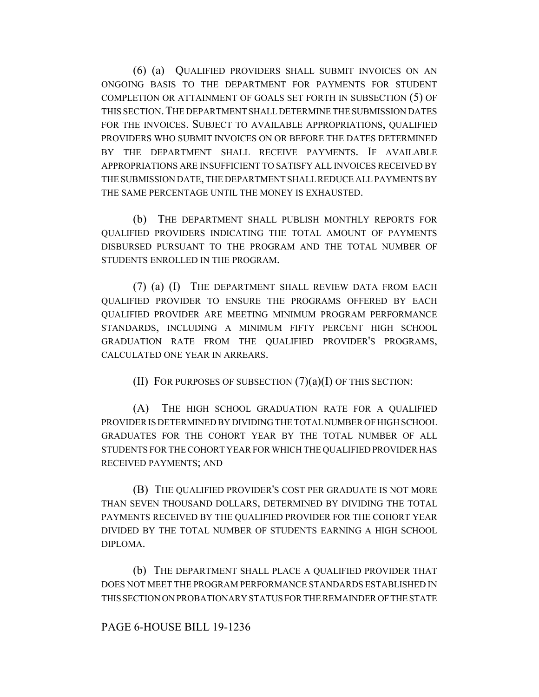(6) (a) QUALIFIED PROVIDERS SHALL SUBMIT INVOICES ON AN ONGOING BASIS TO THE DEPARTMENT FOR PAYMENTS FOR STUDENT COMPLETION OR ATTAINMENT OF GOALS SET FORTH IN SUBSECTION (5) OF THIS SECTION.THE DEPARTMENT SHALL DETERMINE THE SUBMISSION DATES FOR THE INVOICES. SUBJECT TO AVAILABLE APPROPRIATIONS, QUALIFIED PROVIDERS WHO SUBMIT INVOICES ON OR BEFORE THE DATES DETERMINED BY THE DEPARTMENT SHALL RECEIVE PAYMENTS. IF AVAILABLE APPROPRIATIONS ARE INSUFFICIENT TO SATISFY ALL INVOICES RECEIVED BY THE SUBMISSION DATE, THE DEPARTMENT SHALL REDUCE ALL PAYMENTS BY THE SAME PERCENTAGE UNTIL THE MONEY IS EXHAUSTED.

(b) THE DEPARTMENT SHALL PUBLISH MONTHLY REPORTS FOR QUALIFIED PROVIDERS INDICATING THE TOTAL AMOUNT OF PAYMENTS DISBURSED PURSUANT TO THE PROGRAM AND THE TOTAL NUMBER OF STUDENTS ENROLLED IN THE PROGRAM.

(7) (a) (I) THE DEPARTMENT SHALL REVIEW DATA FROM EACH QUALIFIED PROVIDER TO ENSURE THE PROGRAMS OFFERED BY EACH QUALIFIED PROVIDER ARE MEETING MINIMUM PROGRAM PERFORMANCE STANDARDS, INCLUDING A MINIMUM FIFTY PERCENT HIGH SCHOOL GRADUATION RATE FROM THE QUALIFIED PROVIDER'S PROGRAMS, CALCULATED ONE YEAR IN ARREARS.

(II) FOR PURPOSES OF SUBSECTION  $(7)(a)(I)$  OF THIS SECTION:

(A) THE HIGH SCHOOL GRADUATION RATE FOR A QUALIFIED PROVIDER IS DETERMINED BY DIVIDING THE TOTAL NUMBER OF HIGH SCHOOL GRADUATES FOR THE COHORT YEAR BY THE TOTAL NUMBER OF ALL STUDENTS FOR THE COHORT YEAR FOR WHICH THE QUALIFIED PROVIDER HAS RECEIVED PAYMENTS; AND

(B) THE QUALIFIED PROVIDER'S COST PER GRADUATE IS NOT MORE THAN SEVEN THOUSAND DOLLARS, DETERMINED BY DIVIDING THE TOTAL PAYMENTS RECEIVED BY THE QUALIFIED PROVIDER FOR THE COHORT YEAR DIVIDED BY THE TOTAL NUMBER OF STUDENTS EARNING A HIGH SCHOOL DIPLOMA.

(b) THE DEPARTMENT SHALL PLACE A QUALIFIED PROVIDER THAT DOES NOT MEET THE PROGRAM PERFORMANCE STANDARDS ESTABLISHED IN THIS SECTION ON PROBATIONARY STATUS FOR THE REMAINDER OF THE STATE

## PAGE 6-HOUSE BILL 19-1236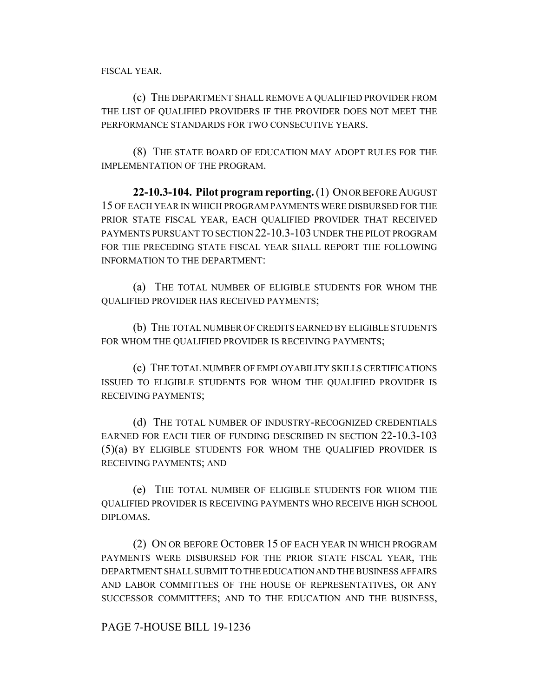FISCAL YEAR.

(c) THE DEPARTMENT SHALL REMOVE A QUALIFIED PROVIDER FROM THE LIST OF QUALIFIED PROVIDERS IF THE PROVIDER DOES NOT MEET THE PERFORMANCE STANDARDS FOR TWO CONSECUTIVE YEARS.

(8) THE STATE BOARD OF EDUCATION MAY ADOPT RULES FOR THE IMPLEMENTATION OF THE PROGRAM.

**22-10.3-104. Pilot program reporting.** (1) ON OR BEFORE AUGUST 15 OF EACH YEAR IN WHICH PROGRAM PAYMENTS WERE DISBURSED FOR THE PRIOR STATE FISCAL YEAR, EACH QUALIFIED PROVIDER THAT RECEIVED PAYMENTS PURSUANT TO SECTION 22-10.3-103 UNDER THE PILOT PROGRAM FOR THE PRECEDING STATE FISCAL YEAR SHALL REPORT THE FOLLOWING INFORMATION TO THE DEPARTMENT:

(a) THE TOTAL NUMBER OF ELIGIBLE STUDENTS FOR WHOM THE QUALIFIED PROVIDER HAS RECEIVED PAYMENTS;

(b) THE TOTAL NUMBER OF CREDITS EARNED BY ELIGIBLE STUDENTS FOR WHOM THE QUALIFIED PROVIDER IS RECEIVING PAYMENTS;

(c) THE TOTAL NUMBER OF EMPLOYABILITY SKILLS CERTIFICATIONS ISSUED TO ELIGIBLE STUDENTS FOR WHOM THE QUALIFIED PROVIDER IS RECEIVING PAYMENTS;

(d) THE TOTAL NUMBER OF INDUSTRY-RECOGNIZED CREDENTIALS EARNED FOR EACH TIER OF FUNDING DESCRIBED IN SECTION 22-10.3-103 (5)(a) BY ELIGIBLE STUDENTS FOR WHOM THE QUALIFIED PROVIDER IS RECEIVING PAYMENTS; AND

(e) THE TOTAL NUMBER OF ELIGIBLE STUDENTS FOR WHOM THE QUALIFIED PROVIDER IS RECEIVING PAYMENTS WHO RECEIVE HIGH SCHOOL DIPLOMAS.

(2) ON OR BEFORE OCTOBER 15 OF EACH YEAR IN WHICH PROGRAM PAYMENTS WERE DISBURSED FOR THE PRIOR STATE FISCAL YEAR, THE DEPARTMENT SHALL SUBMIT TO THE EDUCATION AND THE BUSINESS AFFAIRS AND LABOR COMMITTEES OF THE HOUSE OF REPRESENTATIVES, OR ANY SUCCESSOR COMMITTEES; AND TO THE EDUCATION AND THE BUSINESS,

PAGE 7-HOUSE BILL 19-1236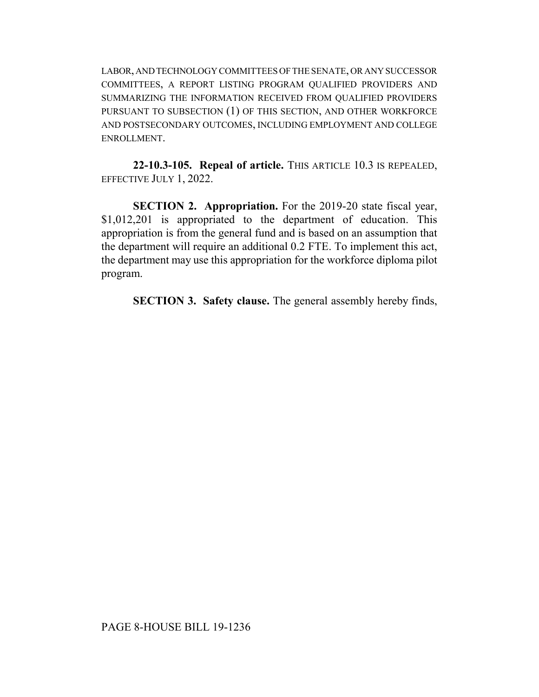LABOR, AND TECHNOLOGY COMMITTEES OF THE SENATE, OR ANY SUCCESSOR COMMITTEES, A REPORT LISTING PROGRAM QUALIFIED PROVIDERS AND SUMMARIZING THE INFORMATION RECEIVED FROM QUALIFIED PROVIDERS PURSUANT TO SUBSECTION (1) OF THIS SECTION, AND OTHER WORKFORCE AND POSTSECONDARY OUTCOMES, INCLUDING EMPLOYMENT AND COLLEGE ENROLLMENT.

**22-10.3-105. Repeal of article.** THIS ARTICLE 10.3 IS REPEALED, EFFECTIVE JULY 1, 2022.

**SECTION 2. Appropriation.** For the 2019-20 state fiscal year, \$1,012,201 is appropriated to the department of education. This appropriation is from the general fund and is based on an assumption that the department will require an additional 0.2 FTE. To implement this act, the department may use this appropriation for the workforce diploma pilot program.

**SECTION 3. Safety clause.** The general assembly hereby finds,